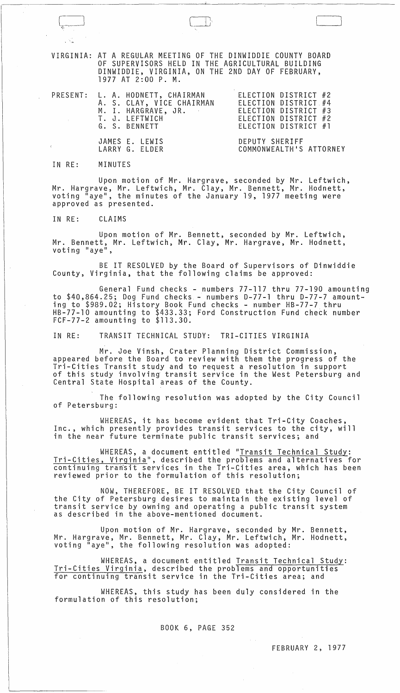VIRGINIA: AT A REGULAR MEETING OF THE DINWIDDIE COUNTY BOARD OF SUPERVISORS HELD IN THE AGRICULTURAL BUILDING DINWIDDIE, VIRGINIA, ON THE 2ND DAY OF FEBRUARY, 1977 AT 2:00 P. M.

 $\begin{pmatrix} 1 & 1 \\ 1 & 1 \end{pmatrix}$ 

 $\mathcal{L}$ 

| PRESENT: L. A. HODNETT, CHAIRMAN<br>A. S. CLAY, VICE CHAIRMAN<br>M. I. HARGRAVE, JR.<br>T. J. LEFTWICH<br>G. S. BENNETT | ELECTION DISTRICT #2<br>ELECTION DISTRICT #4<br>ELECTION DISTRICT #3<br>ELECTION DISTRICT #2<br>ELECTION DISTRICT #1 |
|-------------------------------------------------------------------------------------------------------------------------|----------------------------------------------------------------------------------------------------------------------|
| JAMES E. LEWIS<br>LARRY G. ELDER                                                                                        | DEPUTY SHERIFF<br>COMMONWEALTH'S ATTORNEY                                                                            |

IN RE: MINUTES

Upon motion of Mr. Hargrave, seconded by Mr. Leftwich, Mr. Hargrave, Mr. Leftwich, Mr. Clay, Mr. Bennett, Mr. Hodnett, voting "aye", the minutes of the January 19, 1977 meeting were approved as presented.

IN RE: CLAIMS

Upon motion of Mr. Bennett, seconded by Mr. Leftwich, Mr. Bennett, Mr. Leftwich, Mr. Clay, Mr. Hargrave, Mr. Hodnett, voting "aye",

BE IT RESOLVED by the Board of Supervisors of Dinwiddie County, Virginia, that the following claims be approved:

General Fund checks - numbers 77-117 thru 77-190 amounting to \$40,864.25; Dog Fund checks - numbers D-77-1 thru D-77-7 amounting to \$989.02; History Book Fund checks - number HB-77-7 thru HB-77-10 amounting to \$433.33; Ford Construction Fund check number FCF-77-2 amounting to \$113.30.

IN RE: TRANSIT TECHNICAL STUDY: TRI-CITIES VIRGINIA

Mr. Joe Vinsh, Crater Planning District Commission, appeared before the Board to review with them the progress of the<br>Tri-Cities Transit study and to request a resolution in support of this study involving transit service in the West Petersburg and Central State Hospital areas of the County.

The following resolution was adopted by the City Council of Petersburg:

WHEREAS, it has become evident that Tri-City Coaches, Inc., which presently provides transit services to the city, will in the near future terminate public transit services; and

WHEREAS, a document entitled "Transit Technical Study: Tri-Cities, Virginia", described the problems and alternatives for continuing transit services in the Tri-Cities area, which has been reviewed prior to the formulation of this resolution;

NOW, THEREFORE, BE IT RESOLVED that the City Council of the City of Petersburg desires to maintain the existing level of transit service by owning and operating a public transit system as described in the above-mentioned document.

Upon motion of Mr. Hargrave, seconded by Mr. Bennett, Mr. Hargrave, Mr. Bennett, Mr. Clay, Mr. Leftwich, Mr. Hodnett, voting "aye", the following resolution was adopted:

WHEREAS, a document entitled Transit Technical Study: Tri-Cities Virginia, described the problems and opportunities for continuing transit service in the Tri-Cities area; and

WHEREAS, this study has been duly considered in the formulation of this resolution;

### BOOK 6, PAGE 352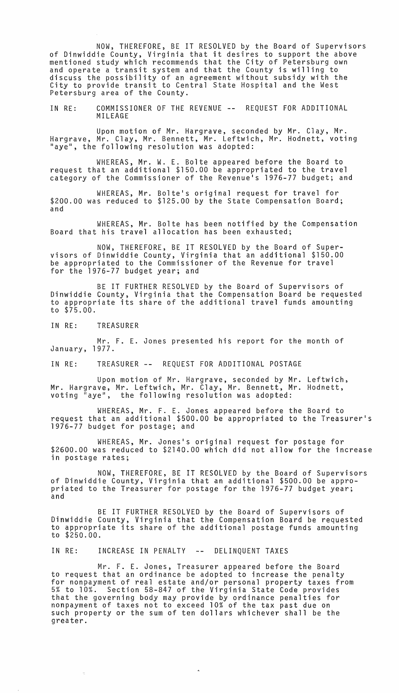NOW, THEREFORE, BE IT RESOLVED by the Board of Supervisors of Dinwiddie County, Virginia that it desires to support the above mentioned study which recommends that the City of Petersburg own and operate a transit system and that the County is willing to discuss the possibility of an agreement without subsidy with the City to provide transit to Central State Hospital and the West Petersburg area of the County.

IN RE: COMMISSIONER OF THE REVENUE -- REQUEST FOR ADDITIONAL MILEAGE

Upon motion of Mr. Hargrave, seconded by Mr. Clay, Mr. Hargrave, Mr. Clay, Mr. Bennett, Mr. Leftwich, Mr. Hodnett, voting "aye", the following resolution was adopted:

WHEREAS, Mr. W. E. Bolte appeared before the Board to request that an additional \$150.00 be appropriated to the travel category of the Commissioner of the Revenue's 1976-77 budget; and

WHEREAS, Mr. Bolte's original request for travel for \$200.00 was reduced to \$125.00 by the State Compensation Board; and

WHEREAS, Mr. Bolte has been notified by the Compensation Board that his travel allocation has been exhausted;

NOW, THEREFORE, BE IT RESOLVED by the Board of Supervisors of Dinwiddie County, Virginia that an additional \$150.00 be appropriated to the Commissioner of the Revenue for travel for the 1976-77 budget year; and

BE IT FURTHER RESOLVED by the Board of Supervisors of Dinwiddie County, Virginia that the Compensation Board be requested to appropriate its share of the additional travel funds amounting to \$75.00.

IN RE: TREASURER

Mr. F. E. Jones presented his report for the month of January, 1977.

IN RE: TREASURER -- REQUEST FOR ADDITIONAL POSTAGE

Upon motion of Mr. Hargrave, seconded by Mr. Leftwich, Mr. Hargrave, Mr. Leftwich, Mr. Clay, Mr. Bennett, Mr. Hodnett, voting "aye", the following resolution was adopted:

WHEREAS, Mr. F. E. Jones appeared before the Board to request that an additional \$500.00 be appropriated to the Treasurer's 1976-77 budget for postage; and

WHEREAS, Mr. Jones's original request for postage for \$2600.00 was reduced to \$2140.00 which did not allow for the increase in postage rates;

NOW, THEREFORE, BE IT RESOLVED by the Board of Supervisors of Dinwiddie County, Virginia that an additional \$500.00 be appropriated to the Treasurer for postage for the 1976-77 budget year;<br>and

BE IT FURTHER RESOLVED by the Board of Supervisors of Dinwiddie County, Virginia that the Compensation Board be requested to appropriate its share of the additional postage funds amounting to \$250.00.

IN RE: INCREASE IN PENALTY -- DELINQUENT TAXES

Mr. F. E. Jones, Treasurer appeared before the Board to request that an ordinance be adopted to increase the penalty for nonpayment of real estate and/or personal property taxes from 5% to 10%. Section 58-847 of the Virginia State Code provides that the governing body may provide by ordinance penalties for nonpayment of taxes not to exceed 10% of the tax past due on such property or the sum of ten dollars whichever shall be the greater.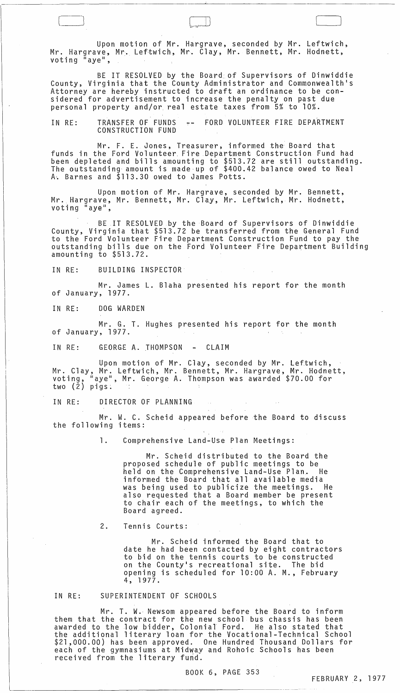Upon motion of Mr. Hargrave, seconded by Mr. Leftwich, Mr. Hargrave, Mr. Leftwich, Mr. Clay, Mr. Bennett, Mr. Hodnett, voting  $\mathbb{I}$  aye",

 $\Box$ 

BE IT RESOLVED by the Board of Supervisors of Dinwiddie County, Virginia that the County Administrator and Commonwealth's Attorney are hereby instructed to draft an ordinance to be considered for advertisement to increase the penalty on past due personal property and/or. real estate taxes from 5% to 10%.

IN RE: TRANSFER OF FUNDS CONSTRUCTION FUND , FORD VOLUNTEER FIRE DEPARTMENT

Mr. F. E. Jones, Treasurer, informed the Board that funds in the Ford Volunteer. Fire Department Construction Fund had been depleted and bills amounting to \$513.72 are still outstanding. The outstanding amount is made·up of \$400.42 balance owed to Neal A~ Barnes and \$113.30 owed to James Potts.

Upon motion of Mr. Hargrave, seconded by Mr. Bennett, Mr. Hargrave, Mr. Bennett, Mr. Clay, Mr. Leftwich, Mr. Hodnett, voting "aye",

BE IT RESOLVED by the Board of Supervisors of Dinwiddie County, Virginia that \$513.72 be transferred from the General Fund to the Ford Volunteer Fire Department Construction Fund to pay the outstanding bills due on the Ford Volunteer Fire Department Building amounting to \$513.72.

IN RE: BUILDING INSPECTOR

Mr. James L. Blaha presented his report for the month of January, 1977.

IN RE: DOG WARDEN

Mr. G. T. Hughes presented his report for the month of January, 1977.

IN RE: GEORGE A. THOMPSON - CLAIM

Upon motion of Mr. Clay, seconded by Mr. Leftwich, Mr. Clay, Mr. Leftwich, Mr. Bennett, Mr. Hargrave, Mr. Hodnett, voting, "aye", Mr. George A. Thompson was awarded \$70.00 for two (2) pigs:

IN RE: DIRECTOR OF PLANNING

Mr. W. C. Scheid appeared before the Board to discuss the following items:

1. Comprehensive Land-Use Plan Meetings:

Mr. Scheid distributed to the Board the proposed schedule of public meetings to be held on the Comprehensive Land-Use Plan.. He informed the Board that all available media was being used to publicize the meetings. He also requested that a Board member be present to chair each of the meetings, to which the Board agreed.

2. Tennis Courts:

Mr. Scheid informed the Board that to date he had been contacted by eight contractors to bid on the tennis courts to be constructed on the County's recreational site. The bid opening is scheduled for 10:00 A. M., February 4, 1977.

#### IN RE: SUPERINTENDENT OF SCHOOLS

Mr. T. W. Newsom appeared before the Board to inform them that the contract for the new school bus chassis has been awarded to the low bidder, Colonial Ford. He also stated that the additional literary loan for the Vocational-Technical School \$21,000.00) has been approved. One Hundred Thousand Dollars for each of the gymnasiums at Midway and Rohoic Schools has been received from the literary fund.

BOOK 6, PAGE 353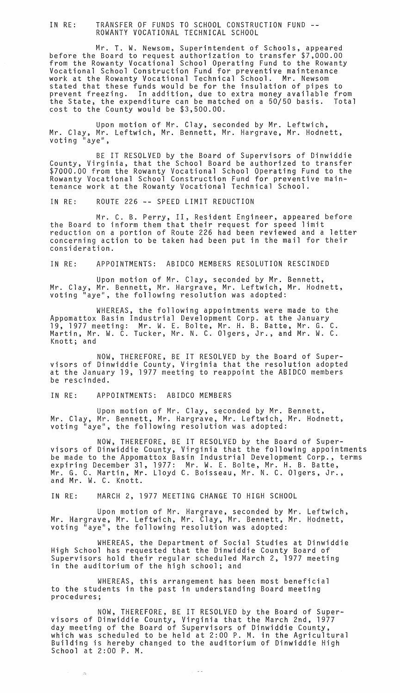# IN RE: TRANSFER OF FUNDS TO SCHOOL CONSTRUCTION FUND -- ROWANTY VOCATIONAL TECHNICAL SCHOOL

Mr. T. W. Newsom, Superintendent of Schools, appeared before the Board to request authorization to transfer \$7,000.00 from the Rowanty Vocational School Operating Fund to the Rowanty Vocational School Construction Fund for preventive maintenance work at the Rowanty Vocational Technical School. Mr. Newsom stated that these funds would be for the insulation of pipes prevent freezing. In addition, due to extra money available to from the State, the expenditure can be matched on a 50/50 basis. Total cost to the County would be \$3,500.00.

Upon motion of Mr. Clay, seconded by Mr. Leftwich, Mr. Clay, Mr. Leftwich, Mr. Bennett, Mr. Hargrave, Mr. Hodnett, voting "aye",

BE IT RESDLVED by the Board of Supervisors of Dinwiddie County, Virginia, that the School Board be authorized to transfer \$7000.00 from the Rowanty Vocational School Operating Fund to the Rowanty Vocational School Construction Fund for preventive maintenance work at the Rowanty Vocational Technical School.

IN RE: ROUTE 226 -- SPEED LIMIT REDUCTION

Mr. C. B. Perry, II, Resident Engineer, appeared before the Board to inform them that their request for speed limit reduction on a portion of Route 226 had been reviewed and a letter concerning action to be taken had been put in the mail for their consideration.

IN RE: APPOINTMENTS: ABIDCO MEMBERS RESOLUTION RESCINDED

Upon motion of Mr. Clay, seconded by Mr. Bennett, Mr. Clay, Mr. Bennett, Mr. Hargrave, Mr. Leftwich, Mr. Hodnett, voting "aye", the following resolution was adopted:

WHEREAS, the following appointments were made to the Appomattox Basin Industrial Development Corp. at the January 19,1977 meeting: Mr. W. E. Bolte, Mr. H. B. Batte, Mr. G. C. Martin, Mr. W. C. Tucker, Mr. N. C. Olgers, Jr., and Mr. W. C. Knott; and

NOW, THEREFORE, BE IT RESOLVED by the Board of Supervisors of Dinwiddie County, Virginia that the resolution adopted at the January 19, 1977 meeting to reappoint the ABIDCO members be rescinded.

### IN RE: APPOINTMENTS: ABIDCO MEMBERS

 $\sim$   $\sim$ 

Upon motion of Mr. Clay, seconded by Mr. Bennett, Mr. Clay, Mr. Bennett, Mr. Hargrave, Mr. Leftwich, Mr. Hodnett, voting "aye", the following resolution was adopted:

NOW, THEREFORE, BE IT RESOLVED by the Board of Supervisors of Dinwiddie County, Virginia that the following appointments be made to the Appomattox Basin Industrial Development Corp., terms expiring December 31, 1977: Mr. W. E. Bolte, Mr. H. B. Batte, Mr. G. C. Martin, Mr. Lloyd C. Boisseau, Mr. N. C. Olgers, Jr., and Mr. W. C. Knott.

IN RE: MARCH 2, 1977 MEETING CHANGE TO HIGH SCHOOL

Upon motion of Mr. Hargrave, seconded by Mr. Leftwich, Mr. Hargrave, Mr. Leftwich, Mr. Clay, Mr. Bennett, Mr. Hodnett, voting "aye", the following resolution was adopted:

WHEREAS, the Department of Social Studies at Dinwiddie High School has requested that the Dinwiddie County Board of Supervisors hold their regular scheduled March 2, 1977 meeting in the auditorium of the high school; and

WHEREAS, this arrangement has been most beneficial to the students in the past in understanding Board meeting procedures;

NOW, THEREFORE, BE IT RESOLVED by the Board of Supervisors of Dinwiddie County, Virginia that the March 2nd, 1977 day meeting of the Board of Supervisors of Dinwiddie County, which was scheduled to be held at 2:00 P. M. in the Agricultural Building is hereby changed to the auditorium of Dinwiddie High School at 2:00 P. M.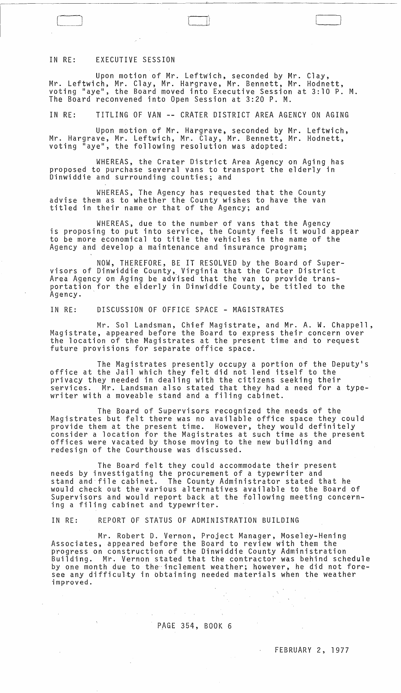### IN RE: EXECUTIVE SESSION

Upon motion of Mr. LeftWich, seconded by Mr. Clay, Mr. Leftwich, Mr. Clay, Mr. Hargrave, Mr. Bennett, Mr. Hodnett, voting "aye", the Board moved into Executive Session at 3:10 P. M. The Board reconvened into Open Session at 3:20 P. M.

 $\Box$ 

IN RE: TITLING OF VAN -- CRATER DISTRICT AREA AGENCY ON AGING

Upon motion of Mr. Hargrave, seconded by Mr. Leftwich, Mr. Hargrave, Mr. Leftwich, Mr. Clay, Mr. Bennett, Mr. Hodnett, voting "aye", the following resolution was adopted:

WHEREAS, the Crater District Area Agency on Aging has proposed to purchase several vans to transport the elderly in Dinwiddie and surrounding counties; and

WHEREAS, The Agency has requested that the County advise them as to whether the County wishes to have the van titled in their name or that of the Agency; and

WHEREAS, due to the number of vans that the Agency is proposing to put into service, the County feels it would appear to be more economical to title the vehicles in the name of the Agency and develop a maintenance and insurance program;

NOW, THEREFORE, BE IT RESOLVED by the Board of Supervisors of Dinwiddie County, Virginia that the Crater District Area Agency on Aging be advised that the van to provide transportation for the elderly in Dinwiddie County, be titled to the Agency. .

IN RE: DISCUSSION OF OFFICE SPACE - MAGISTRATES

Mr. Sol Landsman, Chief Magistrate, and Mr. A. W. Chappell, Magistrate, appeared before the Board to express their concern over the location of the Magistrates at the present time and to request future provisions for separate office space.

The Magistrates presently occupy a portion of the Deputy's office at the Jail which they felt did not lend itself to the privacy they needed in dealing with the citizens seeking their Mr. Landsman also stated that they had a need for a typewriter with a moveable stand and a filing cabinet.

The Board of Supervisors recognized the needs of the Magistrates but felt there was no available office space they could provide them at the present time. However, they would definitely consider a location for the Magistrates at such time as the present offices were vacated by those moving to the new building and redesign of the Courthouse was discussed.

The Board felt they could accommodate their present needs by investigating the procurement of a typewriter and stand and"file cabinet. The County Administrator stated that he would check out the various alternatives available to the Board of Supervisors and would report back at the following meeting concerning a filing cabinet and typewriter.

IN RE: REPORT OF STATUS OF ADMINISTRATION BUILDING

Mr. Robert D. Vernon, Project Manager, Moseley-Hening Associates, appeared before the Board to review with them the progress on construction of the Dinwiddie County Administration Building. Mr. Vernon stated that the contractor was behind schedule by one month due to the inclement weather; however, he did not foresee any difficulty in bbtaining needed materials when the weather improved.

## PAGE 354, BOOK 6

#### FEBRUARY 2, 1977